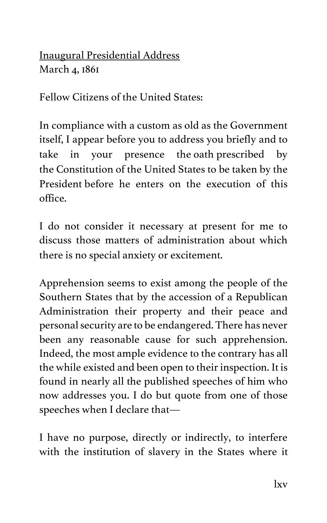Inaugural Presidential Address March 4, 1861

Fellow Citizens of the United States:

In compliance with a custom as old as the Government itself, I appear before you to address you briefly and to take in your presence the oath prescribed by the Constitution of the United States to be taken by the President before he enters on the execution of this office.

I do not consider it necessary at present for me to discuss those matters of administration about which there is no special anxiety or excitement.

Apprehension seems to exist among the people of the Southern States that by the accession of a Republican Administration their property and their peace and personal security are to be endangered. There has never been any reasonable cause for such apprehension. Indeed, the most ample evidence to the contrary has all the while existed and been open to their inspection. It is found in nearly all the published speeches of him who now addresses you. I do but quote from one of those speeches when I declare that—

I have no purpose, directly or indirectly, to interfere with the institution of slavery in the States where it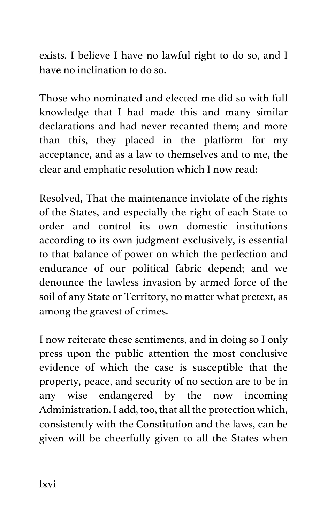exists. I believe I have no lawful right to do so, and I have no inclination to do so.

Those who nominated and elected me did so with full knowledge that I had made this and many similar declarations and had never recanted them; and more than this, they placed in the platform for my acceptance, and as a law to themselves and to me, the clear and emphatic resolution which I now read:

Resolved, That the maintenance inviolate of the rights of the States, and especially the right of each State to order and control its own domestic institutions according to its own judgment exclusively, is essential to that balance of power on which the perfection and endurance of our political fabric depend; and we denounce the lawless invasion by armed force of the soil of any State or Territory, no matter what pretext, as among the gravest of crimes.

I now reiterate these sentiments, and in doing so I only press upon the public attention the most conclusive evidence of which the case is susceptible that the property, peace, and security of no section are to be in any wise endangered by the now incoming Administration. I add, too, that all the protection which, consistently with the Constitution and the laws, can be given will be cheerfully given to all the States when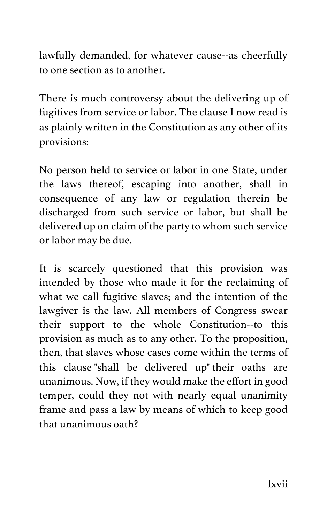lawfully demanded, for whatever cause--as cheerfully to one section as to another.

There is much controversy about the delivering up of fugitives from service or labor. The clause I now read is as plainly written in the Constitution as any other of its provisions:

No person held to service or labor in one State, under the laws thereof, escaping into another, shall in consequence of any law or regulation therein be discharged from such service or labor, but shall be delivered up on claim of the party to whom such service or labor may be due.

It is scarcely questioned that this provision was intended by those who made it for the reclaiming of what we call fugitive slaves; and the intention of the lawgiver is the law. All members of Congress swear their support to the whole Constitution--to this provision as much as to any other. To the proposition, then, that slaves whose cases come within the terms of this clause "shall be delivered up" their oaths are unanimous. Now, if they would make the effort in good temper, could they not with nearly equal unanimity frame and pass a law by means of which to keep good that unanimous oath?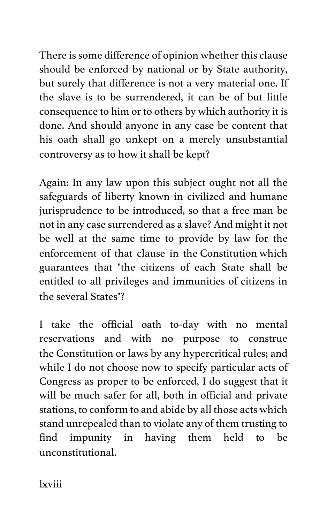There is some difference of opinion whether this clause should be enforced by national or by State authority, but surely that difference is not a very material one. If the slave is to be surrendered, it can be of but little consequence to him or to others by which authority it is done. And should anyone in any case be content that his oath shall go unkept on a merely unsubstantial controversy as to how it shall be kept?

Again: In any law upon this subject ought not all the safeguards of liberty known in civilized and humane jurisprudence to be introduced, so that a free man be not in any case surrendered as a slave? And might it not be well at the same time to provide by law for the enforcement of that clause in the Constitution which guarantees that "the citizens of each State shall be entitled to all privileges and immunities of citizens in the several States"?

I take the official oath to-day with no mental reservations and with no purpose to construe the Constitution or laws by any hypercritical rules; and while I do not choose now to specify particular acts of Congress as proper to be enforced, I do suggest that it will be much safer for all, both in official and private stations, to conform to and abide by all those acts which stand unrepealed than to violate any of them trusting to find impunity in having them held to be unconstitutional.

lxviii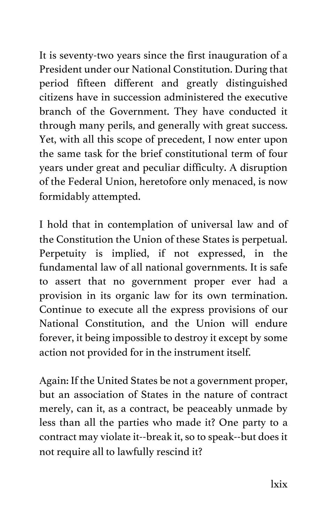It is seventy-two years since the first inauguration of a President under our National Constitution. During that period fifteen different and greatly distinguished citizens have in succession administered the executive branch of the Government. They have conducted it through many perils, and generally with great success. Yet, with all this scope of precedent, I now enter upon the same task for the brief constitutional term of four years under great and peculiar difficulty. A disruption of the Federal Union, heretofore only menaced, is now formidably attempted.

I hold that in contemplation of universal law and of the Constitution the Union of these States is perpetual. Perpetuity is implied, if not expressed, in the fundamental law of all national governments. It is safe to assert that no government proper ever had a provision in its organic law for its own termination. Continue to execute all the express provisions of our National Constitution, and the Union will endure forever, it being impossible to destroy it except by some action not provided for in the instrument itself.

Again: If the United States be not a government proper, but an association of States in the nature of contract merely, can it, as a contract, be peaceably unmade by less than all the parties who made it? One party to a contract may violate it--break it, so to speak--but does it not require all to lawfully rescind it?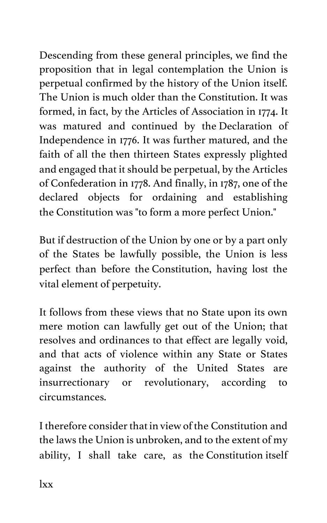Descending from these general principles, we find the proposition that in legal contemplation the Union is perpetual confirmed by the history of the Union itself. The Union is much older than the Constitution. It was formed, in fact, by the Articles of Association in 1774. It was matured and continued by the Declaration of Independence in 1776. It was further matured, and the faith of all the then thirteen States expressly plighted and engaged that it should be perpetual, by the Articles of Confederation in 1778. And finally, in 1787, one of the declared objects for ordaining and establishing the Constitution was "to form a more perfect Union."

But if destruction of the Union by one or by a part only of the States be lawfully possible, the Union is less perfect than before the Constitution, having lost the vital element of perpetuity.

It follows from these views that no State upon its own mere motion can lawfully get out of the Union; that resolves and ordinances to that effect are legally void, and that acts of violence within any State or States against the authority of the United States are insurrectionary or revolutionary, according to circumstances.

I therefore consider that in view of the Constitution and the laws the Union is unbroken, and to the extent of my ability, I shall take care, as the Constitution itself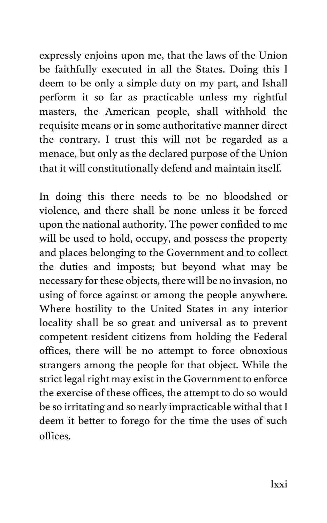expressly enjoins upon me, that the laws of the Union be faithfully executed in all the States. Doing this I deem to be only a simple duty on my part, and Ishall perform it so far as practicable unless my rightful masters, the American people, shall withhold the requisite means or in some authoritative manner direct the contrary. I trust this will not be regarded as a menace, but only as the declared purpose of the Union that it will constitutionally defend and maintain itself.

In doing this there needs to be no bloodshed or violence, and there shall be none unless it be forced upon the national authority. The power confided to me will be used to hold, occupy, and possess the property and places belonging to the Government and to collect the duties and imposts; but beyond what may be necessary for these objects, there will be no invasion, no using of force against or among the people anywhere. Where hostility to the United States in any interior locality shall be so great and universal as to prevent competent resident citizens from holding the Federal offices, there will be no attempt to force obnoxious strangers among the people for that object. While the strict legal right may exist in the Government to enforce the exercise of these offices, the attempt to do so would be so irritating and so nearly impracticable withal that I deem it better to forego for the time the uses of such offices.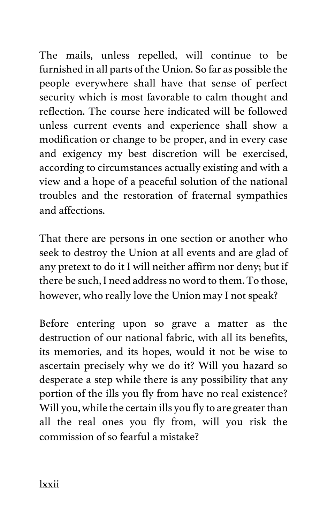The mails, unless repelled, will continue to be furnished in all parts of the Union. So far as possible the people everywhere shall have that sense of perfect security which is most favorable to calm thought and reflection. The course here indicated will be followed unless current events and experience shall show a modification or change to be proper, and in every case and exigency my best discretion will be exercised, according to circumstances actually existing and with a view and a hope of a peaceful solution of the national troubles and the restoration of fraternal sympathies and affections.

That there are persons in one section or another who seek to destroy the Union at all events and are glad of any pretext to do it I will neither affirm nor deny; but if there be such, I need address no word to them. To those, however, who really love the Union may I not speak?

Before entering upon so grave a matter as the destruction of our national fabric, with all its benefits, its memories, and its hopes, would it not be wise to ascertain precisely why we do it? Will you hazard so desperate a step while there is any possibility that any portion of the ills you fly from have no real existence? Will you, while the certain ills you fly to are greater than all the real ones you fly from, will you risk the commission of so fearful a mistake?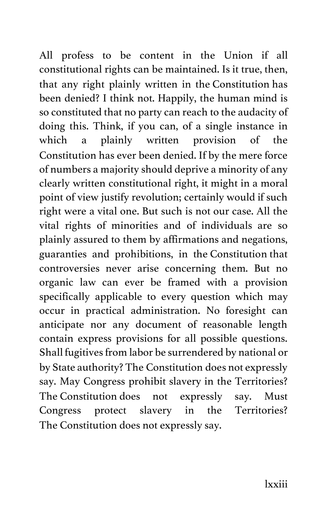All profess to be content in the Union if all constitutional rights can be maintained. Is it true, then, that any right plainly written in the Constitution has been denied? I think not. Happily, the human mind is so constituted that no party can reach to the audacity of doing this. Think, if you can, of a single instance in which a plainly written provision of the Constitution has ever been denied. If by the mere force of numbers a majority should deprive a minority of any clearly written constitutional right, it might in a moral point of view justify revolution; certainly would if such right were a vital one. But such is not our case. All the vital rights of minorities and of individuals are so plainly assured to them by affirmations and negations, guaranties and prohibitions, in the Constitution that controversies never arise concerning them. But no organic law can ever be framed with a provision specifically applicable to every question which may occur in practical administration. No foresight can anticipate nor any document of reasonable length contain express provisions for all possible questions. Shall fugitives from labor be surrendered by national or by State authority? The Constitution does not expressly say. May Congress prohibit slavery in the Territories? The Constitution does not expressly say. Must Congress protect slavery in the Territories? The Constitution does not expressly say.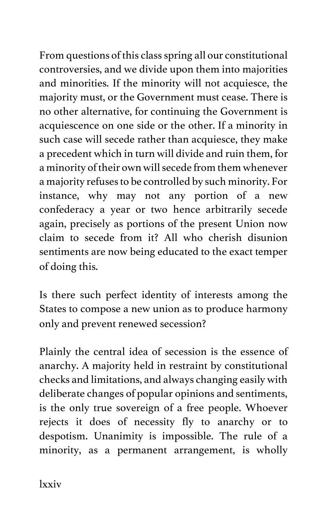From questions of this class spring all our constitutional controversies, and we divide upon them into majorities and minorities. If the minority will not acquiesce, the majority must, or the Government must cease. There is no other alternative, for continuing the Government is acquiescence on one side or the other. If a minority in such case will secede rather than acquiesce, they make a precedent which in turn will divide and ruin them, for a minority of their own will secede from them whenever a majority refuses to be controlled by such minority. For instance, why may not any portion of a new confederacy a year or two hence arbitrarily secede again, precisely as portions of the present Union now claim to secede from it? All who cherish disunion sentiments are now being educated to the exact temper of doing this.

Is there such perfect identity of interests among the States to compose a new union as to produce harmony only and prevent renewed secession?

Plainly the central idea of secession is the essence of anarchy. A majority held in restraint by constitutional checks and limitations, and always changing easily with deliberate changes of popular opinions and sentiments, is the only true sovereign of a free people. Whoever rejects it does of necessity fly to anarchy or to despotism. Unanimity is impossible. The rule of a minority, as a permanent arrangement, is wholly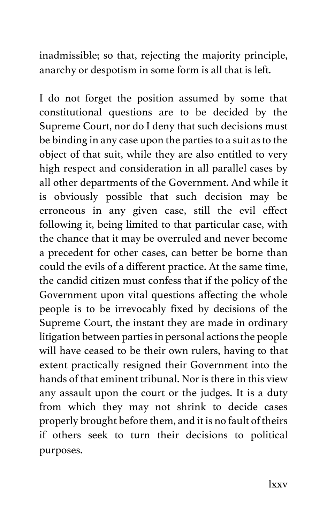inadmissible; so that, rejecting the majority principle, anarchy or despotism in some form is all that is left.

I do not forget the position assumed by some that constitutional questions are to be decided by the Supreme Court, nor do I deny that such decisions must be binding in any case upon the parties to a suit as to the object of that suit, while they are also entitled to very high respect and consideration in all parallel cases by all other departments of the Government. And while it is obviously possible that such decision may be erroneous in any given case, still the evil effect following it, being limited to that particular case, with the chance that it may be overruled and never become a precedent for other cases, can better be borne than could the evils of a different practice. At the same time, the candid citizen must confess that if the policy of the Government upon vital questions affecting the whole people is to be irrevocably fixed by decisions of the Supreme Court, the instant they are made in ordinary litigation between parties in personal actions the people will have ceased to be their own rulers, having to that extent practically resigned their Government into the hands of that eminent tribunal. Nor is there in this view any assault upon the court or the judges. It is a duty from which they may not shrink to decide cases properly brought before them, and it is no fault of theirs if others seek to turn their decisions to political purposes.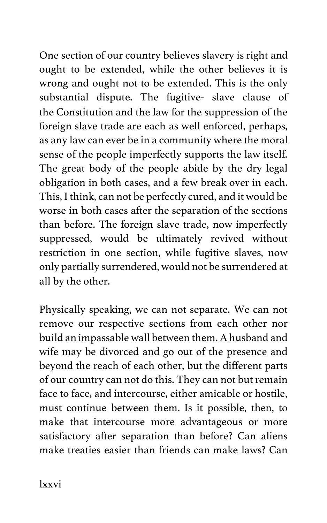One section of our country believes slavery is right and ought to be extended, while the other believes it is wrong and ought not to be extended. This is the only substantial dispute. The fugitive- slave clause of the Constitution and the law for the suppression of the foreign slave trade are each as well enforced, perhaps, as any law can ever be in a community where the moral sense of the people imperfectly supports the law itself. The great body of the people abide by the dry legal obligation in both cases, and a few break over in each. This, I think, can not be perfectly cured, and it would be worse in both cases after the separation of the sections than before. The foreign slave trade, now imperfectly suppressed, would be ultimately revived without restriction in one section, while fugitive slaves, now only partially surrendered, would not be surrendered at all by the other.

Physically speaking, we can not separate. We can not remove our respective sections from each other nor build an impassable wall between them. A husband and wife may be divorced and go out of the presence and beyond the reach of each other, but the different parts of our country can not do this. They can not but remain face to face, and intercourse, either amicable or hostile, must continue between them. Is it possible, then, to make that intercourse more advantageous or more satisfactory after separation than before? Can aliens make treaties easier than friends can make laws? Can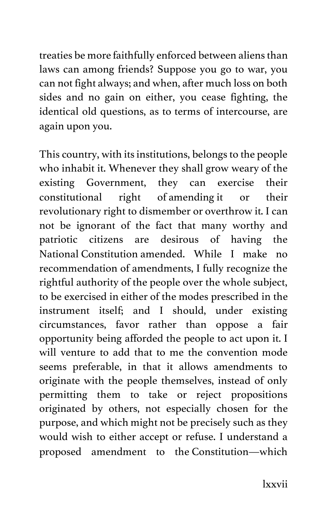treaties be more faithfully enforced between aliens than laws can among friends? Suppose you go to war, you can not fight always; and when, after much loss on both sides and no gain on either, you cease fighting, the identical old questions, as to terms of intercourse, are again upon you.

This country, with its institutions, belongs to the people who inhabit it. Whenever they shall grow weary of the existing Government, they can exercise their constitutional right of amending it or their revolutionary right to dismember or overthrow it. I can not be ignorant of the fact that many worthy and patriotic citizens are desirous of having the National Constitution amended. While I make no recommendation of amendments, I fully recognize the rightful authority of the people over the whole subject, to be exercised in either of the modes prescribed in the instrument itself; and I should, under existing circumstances, favor rather than oppose a fair opportunity being afforded the people to act upon it. I will venture to add that to me the convention mode seems preferable, in that it allows amendments to originate with the people themselves, instead of only permitting them to take or reject propositions originated by others, not especially chosen for the purpose, and which might not be precisely such as they would wish to either accept or refuse. I understand a proposed amendment to the Constitution—which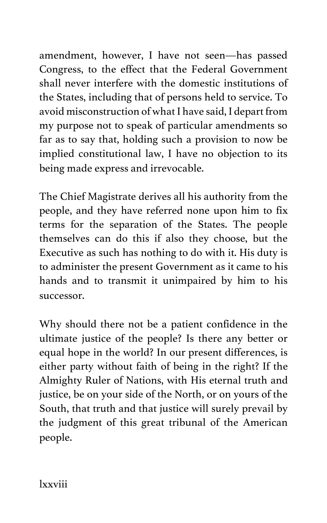amendment, however, I have not seen—has passed Congress, to the effect that the Federal Government shall never interfere with the domestic institutions of the States, including that of persons held to service. To avoid misconstruction of what I have said, I depart from my purpose not to speak of particular amendments so far as to say that, holding such a provision to now be implied constitutional law, I have no objection to its being made express and irrevocable.

The Chief Magistrate derives all his authority from the people, and they have referred none upon him to fix terms for the separation of the States. The people themselves can do this if also they choose, but the Executive as such has nothing to do with it. His duty is to administer the present Government as it came to his hands and to transmit it unimpaired by him to his successor.

Why should there not be a patient confidence in the ultimate justice of the people? Is there any better or equal hope in the world? In our present differences, is either party without faith of being in the right? If the Almighty Ruler of Nations, with His eternal truth and justice, be on your side of the North, or on yours of the South, that truth and that justice will surely prevail by the judgment of this great tribunal of the American people.

lxxviii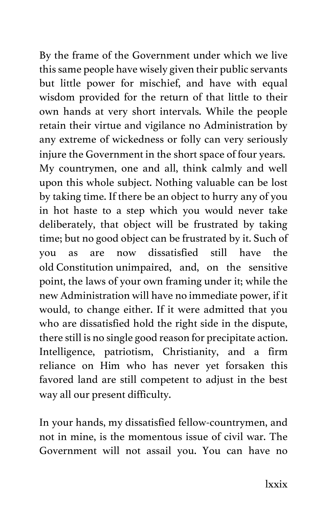By the frame of the Government under which we live this same people have wisely given their public servants but little power for mischief, and have with equal wisdom provided for the return of that little to their own hands at very short intervals. While the people retain their virtue and vigilance no Administration by any extreme of wickedness or folly can very seriously injure the Government in the short space of four years. My countrymen, one and all, think calmly and well upon this whole subject. Nothing valuable can be lost by taking time. If there be an object to hurry any of you in hot haste to a step which you would never take deliberately, that object will be frustrated by taking time; but no good object can be frustrated by it. Such of you as are now dissatisfied still have the old Constitution unimpaired, and, on the sensitive point, the laws of your own framing under it; while the new Administration will have no immediate power, if it would, to change either. If it were admitted that you who are dissatisfied hold the right side in the dispute, there still is no single good reason for precipitate action. Intelligence, patriotism, Christianity, and a firm reliance on Him who has never yet forsaken this favored land are still competent to adjust in the best way all our present difficulty.

In your hands, my dissatisfied fellow-countrymen, and not in mine, is the momentous issue of civil war. The Government will not assail you. You can have no